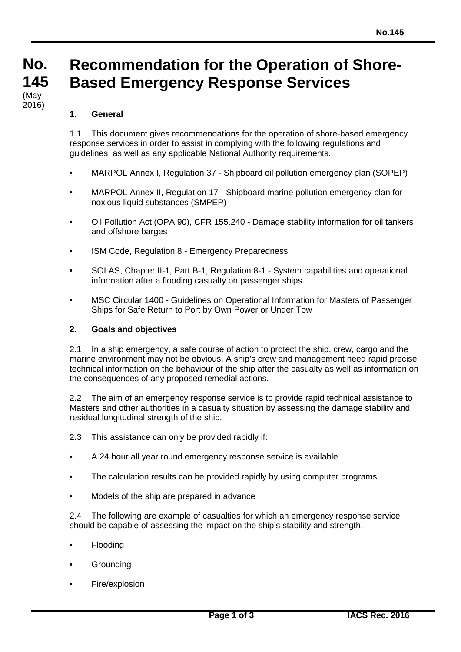#### **No. No. 145 145 Recommendation for the Operation of Shore-Based Emergency Response Services** (May

# **1. General**

(iviay<br>2016)

1.1 This document gives recommendations for the operation of shore-based emergency response services in order to assist in complying with the following regulations and guidelines, as well as any applicable National Authority requirements.

- MARPOL Annex I, Regulation 37 Shipboard oil pollution emergency plan (SOPEP)
- MARPOL Annex II, Regulation 17 Shipboard marine pollution emergency plan for noxious liquid substances (SMPEP)
- Oil Pollution Act (OPA 90), CFR 155.240 Damage stability information for oil tankers and offshore barges
- ISM Code, Regulation 8 Emergency Preparedness
- SOLAS, Chapter II-1, Part B-1, Regulation 8-1 System capabilities and operational information after a flooding casualty on passenger ships
- MSC Circular 1400 Guidelines on Operational Information for Masters of Passenger Ships for Safe Return to Port by Own Power or Under Tow

## **2. Goals and objectives**

2.1 In a ship emergency, a safe course of action to protect the ship, crew, cargo and the marine environment may not be obvious. A ship's crew and management need rapid precise technical information on the behaviour of the ship after the casualty as well as information on the consequences of any proposed remedial actions.

2.2 The aim of an emergency response service is to provide rapid technical assistance to Masters and other authorities in a casualty situation by assessing the damage stability and residual longitudinal strength of the ship.

- 2.3 This assistance can only be provided rapidly if:
- A 24 hour all year round emergency response service is available
- The calculation results can be provided rapidly by using computer programs
- Models of the ship are prepared in advance

2.4 The following are example of casualties for which an emergency response service should be capable of assessing the impact on the ship's stability and strength.

- Flooding
- **Grounding**
- Fire/explosion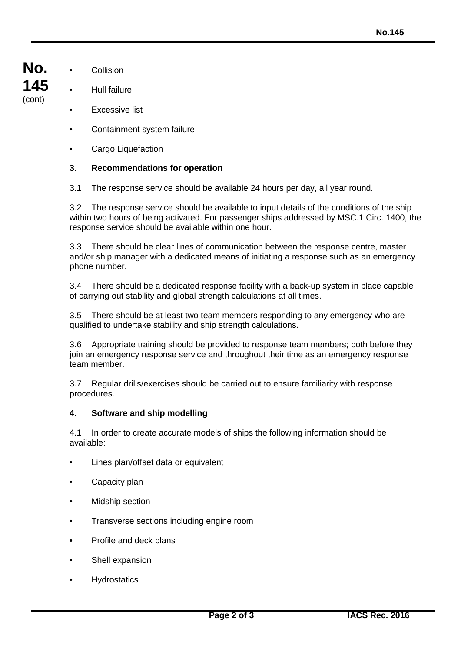- **No. 145** (cont)
- Collision
- Hull failure
- **Excessive list**
- Containment system failure
- Cargo Liquefaction

# **3. Recommendations for operation**

3.1 The response service should be available 24 hours per day, all year round.

3.2 The response service should be available to input details of the conditions of the ship within two hours of being activated. For passenger ships addressed by MSC.1 Circ. 1400, the response service should be available within one hour.

3.3 There should be clear lines of communication between the response centre, master and/or ship manager with a dedicated means of initiating a response such as an emergency phone number.

3.4 There should be a dedicated response facility with a back-up system in place capable of carrying out stability and global strength calculations at all times.

3.5 There should be at least two team members responding to any emergency who are qualified to undertake stability and ship strength calculations.

3.6 Appropriate training should be provided to response team members; both before they join an emergency response service and throughout their time as an emergency response team member.

3.7 Regular drills/exercises should be carried out to ensure familiarity with response procedures.

#### **4. Software and ship modelling**

4.1 In order to create accurate models of ships the following information should be available:

- Lines plan/offset data or equivalent
- Capacity plan
- Midship section
- Transverse sections including engine room
- Profile and deck plans
- Shell expansion
- **Hydrostatics**